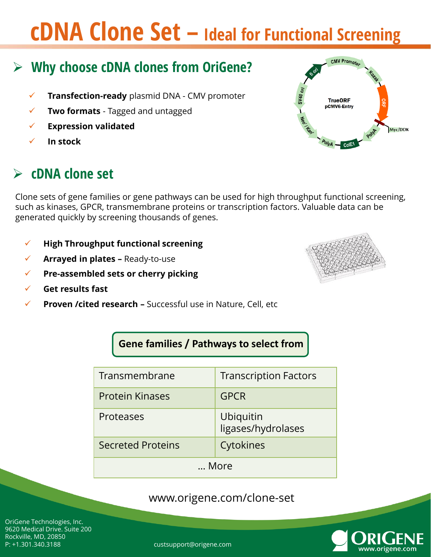## **cDNA Clone Set – Ideal for Functional Screening**

#### **Custom Countries Service Service Service Service Service Service Service Service Service Service Service Service Why choose cDNA clones from OriGene?**

- **Fight Aug-Strange Control Transfection-ready** plasmid DNA CMV promoter
- *Ultra High Titer* **Two formats**  Tagged and untagged
- **► Expression validated**
- **In stock**

### **cDNA clone set**

Clone sets of gene families or gene pathways can be used for high throughput functional screening, such as kinases, GPCR, transmembrane proteins or transcription factors. Valuable data can be generated quickly by screening thousands of genes.

- **High Throughput functional screening**
- **Arrayed in plates –** Ready-to-use
- **Pre-assembled sets or cherry picking**
- **Get results fast**
- **Proven /cited research –** Successful use in Nature, Cell, etc

**Gene families / Pathways to select from**

| Transmembrane            | <b>Transcription Factors</b>    |  |
|--------------------------|---------------------------------|--|
| <b>Protein Kinases</b>   | <b>GPCR</b>                     |  |
| Proteases                | Ubiquitin<br>ligases/hydrolases |  |
| <b>Secreted Proteins</b> | Cytokines                       |  |
| … More                   |                                 |  |

#### www.origene.com/clone-set

OriGene Technologies, Inc. 9620 Medical Drive. Suite 200 Rockville, MD, 20850 P: +1.301.340.3188 custsupport@origene.com



CMV Promote